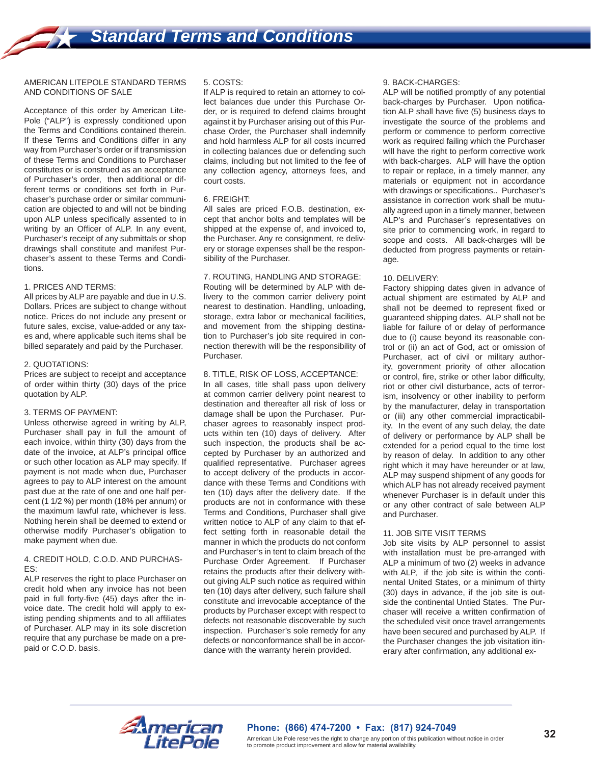## AMERICAN LITEPOLE STANDARD TERMS AND CONDITIONS OF SALE

Acceptance of this order by American Lite-Pole ("ALP") is expressly conditioned upon the Terms and Conditions contained therein. If these Terms and Conditions differ in any way from Purchaser's order or if transmission of these Terms and Conditions to Purchaser constitutes or is construed as an acceptance of Purchaser's order, then additional or different terms or conditions set forth in Purchaser's purchase order or similar communication are objected to and will not be binding upon ALP unless specifically assented to in writing by an Officer of ALP. In any event, Purchaser's receipt of any submittals or shop drawings shall constitute and manifest Purchaser's assent to these Terms and Conditions.

## 1. PRICES AND TERMS:

All prices by ALP are payable and due in U.S. Dollars. Prices are subject to change without notice. Prices do not include any present or future sales, excise, value-added or any taxes and, where applicable such items shall be billed separately and paid by the Purchaser.

#### 2. QUOTATIONS:

Prices are subject to receipt and acceptance of order within thirty (30) days of the price quotation by ALP.

#### 3. TERMS OF PAYMENT:

Unless otherwise agreed in writing by ALP, Purchaser shall pay in full the amount of each invoice, within thirty (30) days from the date of the invoice, at ALP's principal office or such other location as ALP may specify. If payment is not made when due, Purchaser agrees to pay to ALP interest on the amount past due at the rate of one and one half percent (1 1/2 %) per month (18% per annum) or the maximum Iawful rate, whichever is less. Nothing herein shall be deemed to extend or otherwise modify Purchaser's obligation to make payment when due.

#### 4. CREDIT HOLD, C.O.D. AND PURCHAS-ES:

ALP reserves the right to place Purchaser on credit hold when any invoice has not been paid in full forty-five (45) days after the invoice date. The credit hold will apply to existing pending shipments and to all affiliates of Purchaser. ALP may in its sole discretion require that any purchase be made on a prepaid or C.O.D. basis.

## 5. COSTS:

If ALP is required to retain an attorney to collect balances due under this Purchase Order, or is required to defend claims brought against it by Purchaser arising out of this Purchase Order, the Purchaser shall indemnify and hold harmless ALP for all costs incurred in collecting balances due or defending such claims, including but not limited to the fee of any collection agency, attorneys fees, and court costs.

# 6. FREIGHT:

All sales are priced F.O.B. destination, except that anchor bolts and templates will be shipped at the expense of, and invoiced to, the Purchaser. Any re consignment, re delivery or storage expenses shall be the responsibility of the Purchaser.

# 7. ROUTING, HANDLING AND STORAGE:

Routing will be determined by ALP with delivery to the common carrier delivery point nearest to destination. Handling, unloading, storage, extra labor or mechanical facilities, and movement from the shipping destination to Purchaser's job site required in connection therewith will be the responsibility of Purchaser.

# 8. TITLE, RISK OF LOSS, ACCEPTANCE:

In all cases, title shall pass upon delivery at common carrier delivery point nearest to destination and thereafter all risk of loss or damage shall be upon the Purchaser. Purchaser agrees to reasonably inspect products within ten (10) days of delivery. After such inspection, the products shall be accepted by Purchaser by an authorized and qualified representative. Purchaser agrees to accept delivery of the products in accordance with these Terms and Conditions with ten (10) days after the delivery date. If the products are not in conformance with these Terms and Conditions, Purchaser shall give written notice to ALP of any claim to that effect setting forth in reasonable detail the manner in which the products do not conform and Purchaser's in tent to claim breach of the Purchase Order Agreement. If Purchaser retains the products after their delivery without giving ALP such notice as required within ten (10) days after delivery, such failure shall constitute and irrevocable acceptance of the products by Purchaser except with respect to defects not reasonable discoverable by such inspection. Purchaser's sole remedy for any defects or nonconformance shall be in accordance with the warranty herein provided.

## 9. BACK-CHARGES:

ALP will be notified promptly of any potential back-charges by Purchaser. Upon notification ALP shall have five (5) business days to investigate the source of the problems and perform or commence to perform corrective work as required failing which the Purchaser will have the right to perform corrective work with back-charges. ALP will have the option to repair or replace, in a timely manner, any materials or equipment not in accordance with drawings or specifications.. Purchaser's assistance in correction work shall be mutually agreed upon in a timely manner, between ALP's and Purchaser's representatives on site prior to commencing work, in regard to scope and costs. All back-charges will be deducted from progress payments or retainage.

## 10. DELIVERY:

Factory shipping dates given in advance of actual shipment are estimated by ALP and shall not be deemed to represent fixed or guaranteed shipping dates. ALP shall not be liable for failure of or delay of performance due to (i) cause beyond its reasonable control or (ii) an act of God, act or omission of Purchaser, act of civil or military authority, government priority of other allocation or control, fire, strike or other labor difficulty, riot or other civil disturbance, acts of terrorism, insolvency or other inability to perform by the manufacturer, delay in transportation or (iii) any other commercial impracticability. In the event of any such delay, the date of delivery or performance by ALP shall be extended for a period equal to the time lost by reason of delay. In addition to any other right which it may have hereunder or at law, ALP may suspend shipment of any goods for which ALP has not already received payment whenever Purchaser is in default under this or any other contract of sale between ALP and Purchaser.

#### 11. JOB SITE VISIT TERMS

Job site visits by ALP personnel to assist with installation must be pre-arranged with ALP a minimum of two (2) weeks in advance with ALP, if the job site is within the continental United States, or a minimum of thirty (30) days in advance, if the job site is outside the continental Untied States. The Purchaser will receive a written confirmation of the scheduled visit once travel arrangements have been secured and purchased by ALP. If the Purchaser changes the job visitation itinerary after confirmation, any additional ex-



# **Phone: (866) 474-7200 • Fax: (817) 924-7049**

American Lite Pole reserves the right to change any portion of this publication without notice in order to promote product improvement and allow for material availability.